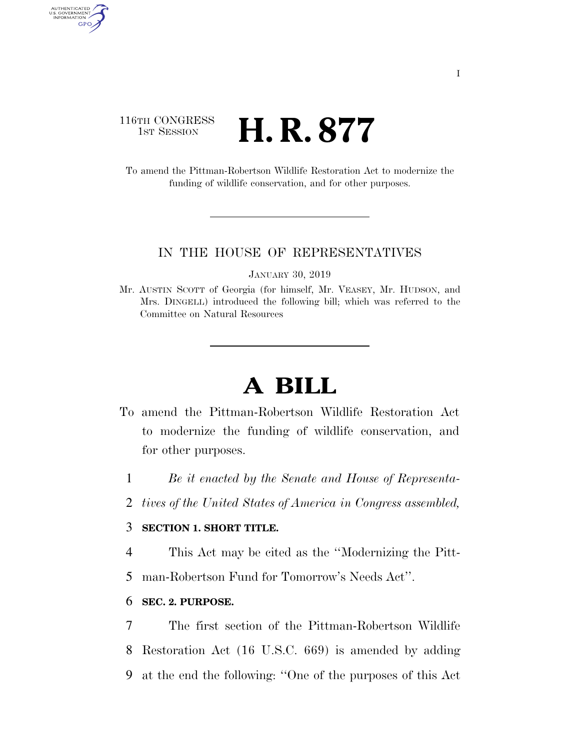## 116TH CONGRESS <sup>TH CONGRESS</sup> **H. R. 877**

AUTHENTICATED<br>U.S. GOVERNMENT<br>INFORMATION GPO

> To amend the Pittman-Robertson Wildlife Restoration Act to modernize the funding of wildlife conservation, and for other purposes.

#### IN THE HOUSE OF REPRESENTATIVES

JANUARY 30, 2019

Mr. AUSTIN SCOTT of Georgia (for himself, Mr. VEASEY, Mr. HUDSON, and Mrs. DINGELL) introduced the following bill; which was referred to the Committee on Natural Resources

# **A BILL**

- To amend the Pittman-Robertson Wildlife Restoration Act to modernize the funding of wildlife conservation, and for other purposes.
	- 1 *Be it enacted by the Senate and House of Representa-*
	- 2 *tives of the United States of America in Congress assembled,*

### 3 **SECTION 1. SHORT TITLE.**

- 4 This Act may be cited as the ''Modernizing the Pitt-
- 5 man-Robertson Fund for Tomorrow's Needs Act''.

#### 6 **SEC. 2. PURPOSE.**

7 The first section of the Pittman-Robertson Wildlife 8 Restoration Act (16 U.S.C. 669) is amended by adding 9 at the end the following: ''One of the purposes of this Act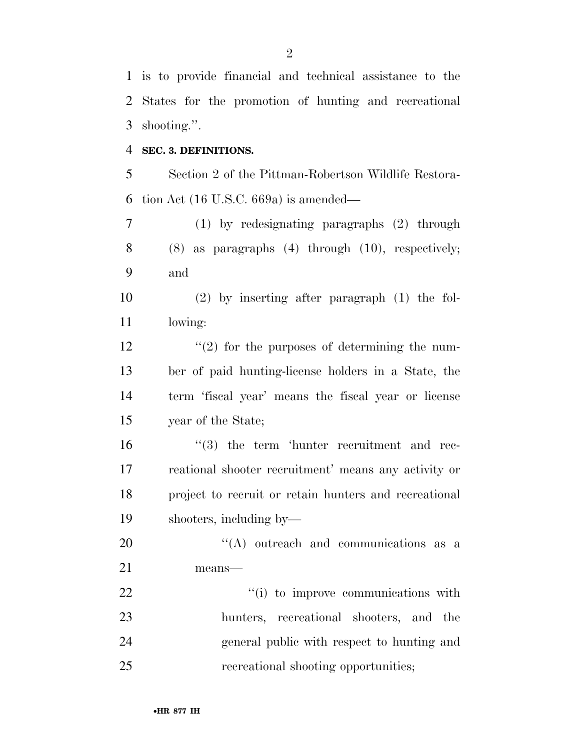is to provide financial and technical assistance to the States for the promotion of hunting and recreational shooting.''.

#### **SEC. 3. DEFINITIONS.**

 Section 2 of the Pittman-Robertson Wildlife Restora-tion Act (16 U.S.C. 669a) is amended—

 (1) by redesignating paragraphs (2) through (8) as paragraphs (4) through (10), respectively; and

 (2) by inserting after paragraph (1) the fol-lowing:

 $\frac{12}{2}$  ''(2) for the purposes of determining the num- ber of paid hunting-license holders in a State, the term 'fiscal year' means the fiscal year or license year of the State;

  $\frac{16}{3}$  the term 'hunter recruitment and rec- reational shooter recruitment' means any activity or project to recruit or retain hunters and recreational shooters, including by—

20  $\text{``(A)}$  outreach and communications as a means—

 $\frac{1}{1}$  to improve communications with hunters, recreational shooters, and the general public with respect to hunting and recreational shooting opportunities;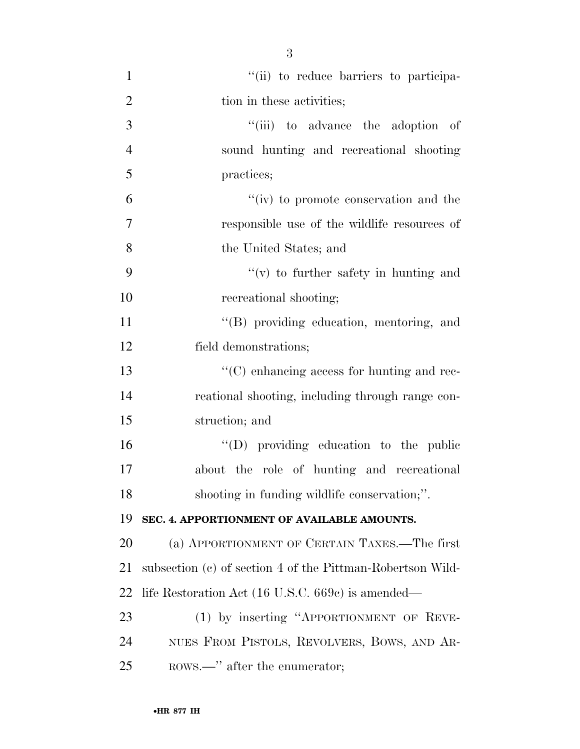| 1              | "(ii) to reduce barriers to participa-                     |
|----------------|------------------------------------------------------------|
| $\overline{2}$ | tion in these activities;                                  |
| 3              | "(iii) to advance the adoption of                          |
| $\overline{4}$ | sound hunting and recreational shooting                    |
| 5              | practices;                                                 |
| 6              | "(iv) to promote conservation and the                      |
| $\overline{7}$ | responsible use of the wildlife resources of               |
| 8              | the United States; and                                     |
| 9              | $f'(v)$ to further safety in hunting and                   |
| 10             | recreational shooting;                                     |
| 11             | "(B) providing education, mentoring, and                   |
| 12             | field demonstrations;                                      |
| 13             | $\lq\lq$ enhancing access for hunting and rec-             |
| 14             | reational shooting, including through range con-           |
| 15             | struction; and                                             |
| 16             | $\lq\lq$ (D) providing education to the public             |
| 17             | about the role of hunting and recreational                 |
| 18             | shooting in funding wildlife conservation;".               |
| 19             | SEC. 4. APPORTIONMENT OF AVAILABLE AMOUNTS.                |
| 20             | (a) APPORTIONMENT OF CERTAIN TAXES.—The first              |
| 21             | subsection (c) of section 4 of the Pittman-Robertson Wild- |
| 22             | life Restoration Act (16 U.S.C. 669c) is amended—          |
| 23             | (1) by inserting "APPORTIONMENT OF REVE-                   |
| 24             | NUES FROM PISTOLS, REVOLVERS, BOWS, AND AR-                |
| 25             | ROWS.—" after the enumerator;                              |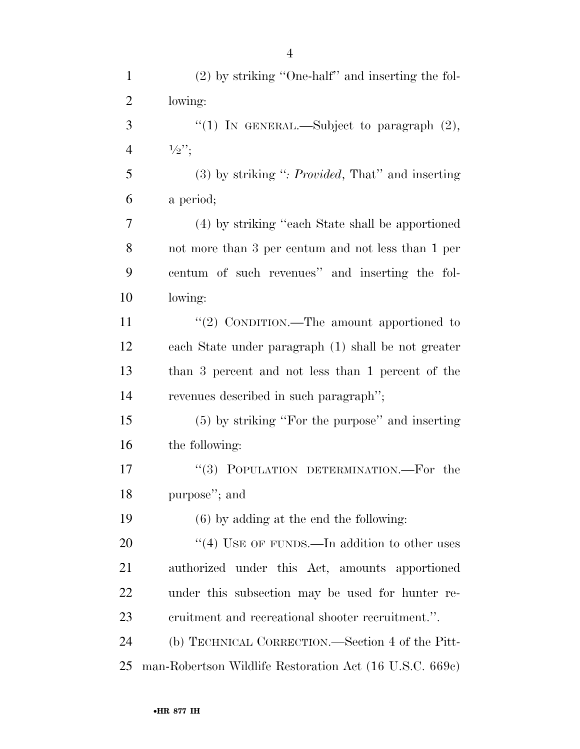| $\mathbf{1}$   | $(2)$ by striking "One-half" and inserting the fol-        |
|----------------|------------------------------------------------------------|
| $\overline{2}$ | lowing:                                                    |
| 3              | "(1) IN GENERAL.—Subject to paragraph $(2)$ ,              |
| $\overline{4}$ | $\frac{1}{2}$ ";                                           |
| 5              | $(3)$ by striking ": <i>Provided</i> , That" and inserting |
| 6              | a period;                                                  |
| 7              | (4) by striking "each State shall be apportioned           |
| 8              | not more than 3 per centum and not less than 1 per         |
| 9              | centum of such revenues" and inserting the fol-            |
| 10             | lowing:                                                    |
| 11             | "(2) CONDITION.—The amount apportioned to                  |
| 12             | each State under paragraph (1) shall be not greater        |
| 13             | than 3 percent and not less than 1 percent of the          |
| 14             | revenues described in such paragraph";                     |
| 15             | (5) by striking "For the purpose" and inserting            |
| 16             | the following:                                             |
| 17             | "(3) POPULATION DETERMINATION.—For the                     |
| 18             | purpose"; and                                              |
| 19             | $(6)$ by adding at the end the following:                  |
| 20             | "(4) USE OF FUNDS.—In addition to other uses               |
| 21             | authorized under this Act, amounts apportioned             |
| 22             | under this subsection may be used for hunter re-           |
| 23             | eruitment and recreational shooter recruitment.".          |
| 24             | (b) TECHNICAL CORRECTION.—Section 4 of the Pitt-           |
| 25             | man-Robertson Wildlife Restoration Act (16 U.S.C. 669c)    |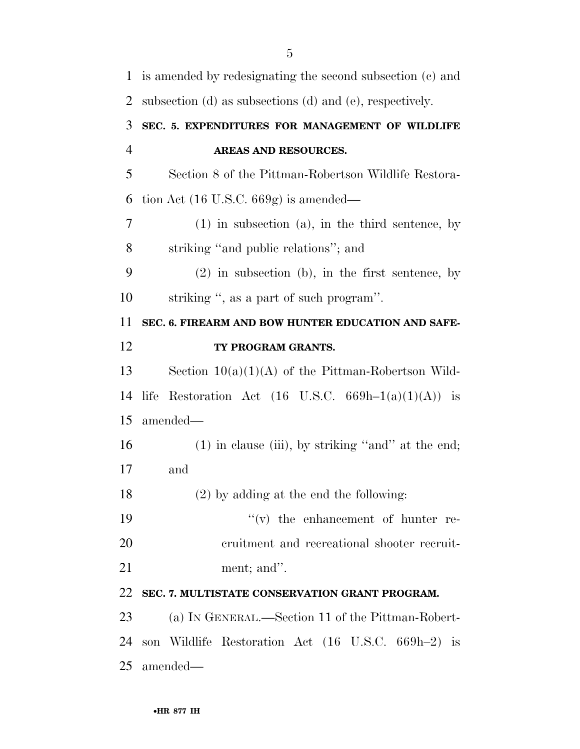| $\mathbf{1}$   | is amended by redesignating the second subsection (c) and |
|----------------|-----------------------------------------------------------|
| $\overline{2}$ | subsection (d) as subsections (d) and (e), respectively.  |
| 3              | SEC. 5. EXPENDITURES FOR MANAGEMENT OF WILDLIFE           |
| $\overline{4}$ | AREAS AND RESOURCES.                                      |
| 5              | Section 8 of the Pittman-Robertson Wildlife Restora-      |
| 6              | tion Act $(16 \text{ U.S.C. } 669g)$ is amended—          |
| 7              | $(1)$ in subsection $(a)$ , in the third sentence, by     |
| 8              | striking "and public relations"; and                      |
| 9              | $(2)$ in subsection (b), in the first sentence, by        |
| 10             | striking ", as a part of such program".                   |
| 11             | SEC. 6. FIREARM AND BOW HUNTER EDUCATION AND SAFE-        |
| 12             | TY PROGRAM GRANTS.                                        |
| 13             | Section $10(a)(1)(A)$ of the Pittman-Robertson Wild-      |
| 14             | Restoration Act (16 U.S.C. 669h-1(a)(1)(A)) is<br>life    |
| 15             | amended—                                                  |
| 16             | $(1)$ in clause (iii), by striking "and" at the end;      |
| 17             | and                                                       |
| 18             | $(2)$ by adding at the end the following:                 |
| 19             | $f'(v)$ the enhancement of hunter re-                     |
| 20             | eruitment and recreational shooter recruit-               |
| 21             | ment; and".                                               |
| 22             | SEC. 7. MULTISTATE CONSERVATION GRANT PROGRAM.            |
| 23             | (a) IN GENERAL.—Section 11 of the Pittman-Robert-         |
| 24             | son Wildlife Restoration Act (16 U.S.C. 669h–2) is        |
| 25             | amended—                                                  |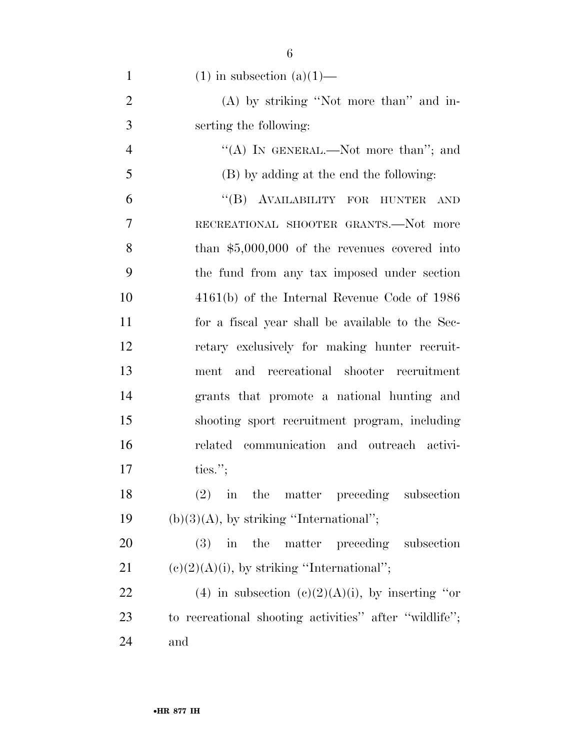| $\mathbf{1}$   | $(1)$ in subsection $(a)(1)$ —                         |
|----------------|--------------------------------------------------------|
| $\overline{2}$ | (A) by striking "Not more than" and in-                |
| 3              | serting the following:                                 |
| $\overline{4}$ | "(A) IN GENERAL.—Not more than"; and                   |
| 5              | (B) by adding at the end the following:                |
| 6              | "(B) AVAILABILITY FOR HUNTER<br><b>AND</b>             |
| 7              | RECREATIONAL SHOOTER GRANTS.-Not more                  |
| 8              | than $$5,000,000$ of the revenues covered into         |
| 9              | the fund from any tax imposed under section            |
| 10             | $4161(b)$ of the Internal Revenue Code of 1986         |
| 11             | for a fiscal year shall be available to the Sec-       |
| 12             | retary exclusively for making hunter recruit-          |
| 13             | and recreational shooter recruitment<br>ment           |
| 14             | grants that promote a national hunting and             |
| 15             | shooting sport recruitment program, including          |
| 16             | related communication and outreach activi-             |
| 17             | ties.";                                                |
| 18             | $(2)$ in the matter preceding subsection               |
| 19             | $(b)(3)(A)$ , by striking "International";             |
| 20             | (3) in the matter preceding subsection                 |
| 21             | $(e)(2)(A)(i)$ , by striking "International";          |
| 22             | (4) in subsection (c)(2)(A)(i), by inserting "or       |
| 23             | to recreational shooting activities" after "wildlife"; |
| 24             | and                                                    |